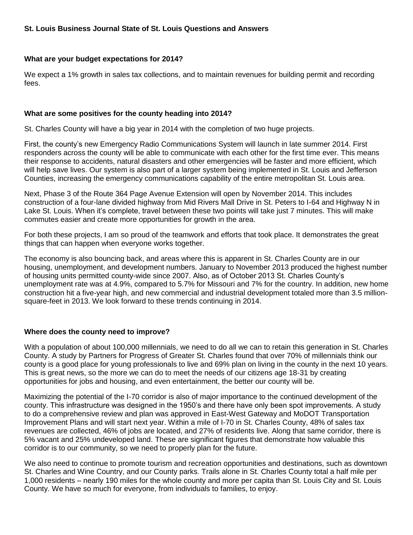#### **What are your budget expectations for 2014?**

We expect a 1% growth in sales tax collections, and to maintain revenues for building permit and recording fees.

#### **What are some positives for the county heading into 2014?**

St. Charles County will have a big year in 2014 with the completion of two huge projects.

First, the county's new Emergency Radio Communications System will launch in late summer 2014. First responders across the county will be able to communicate with each other for the first time ever. This means their response to accidents, natural disasters and other emergencies will be faster and more efficient, which will help save lives. Our system is also part of a larger system being implemented in St. Louis and Jefferson Counties, increasing the emergency communications capability of the entire metropolitan St. Louis area.

Next, Phase 3 of the Route 364 Page Avenue Extension will open by November 2014. This includes construction of a four-lane divided highway from Mid Rivers Mall Drive in St. Peters to I-64 and Highway N in Lake St. Louis. When it's complete, travel between these two points will take just 7 minutes. This will make commutes easier and create more opportunities for growth in the area.

For both these projects, I am so proud of the teamwork and efforts that took place. It demonstrates the great things that can happen when everyone works together.

The economy is also bouncing back, and areas where this is apparent in St. Charles County are in our housing, unemployment, and development numbers. January to November 2013 produced the highest number of housing units permitted county-wide since 2007. Also, as of October 2013 St. Charles County's unemployment rate was at 4.9%, compared to 5.7% for Missouri and 7% for the country. In addition, new home construction hit a five-year high, and new commercial and industrial development totaled more than 3.5 millionsquare-feet in 2013. We look forward to these trends continuing in 2014.

## **Where does the county need to improve?**

With a population of about 100,000 millennials, we need to do all we can to retain this generation in St. Charles County. A study by Partners for Progress of Greater St. Charles found that over 70% of millennials think our county is a good place for young professionals to live and 69% plan on living in the county in the next 10 years. This is great news, so the more we can do to meet the needs of our citizens age 18-31 by creating opportunities for jobs and housing, and even entertainment, the better our county will be.

Maximizing the potential of the I-70 corridor is also of major importance to the continued development of the county. This infrastructure was designed in the 1950's and there have only been spot improvements. A study to do a comprehensive review and plan was approved in East-West Gateway and MoDOT Transportation Improvement Plans and will start next year. Within a mile of I-70 in St. Charles County, 48% of sales tax revenues are collected, 46% of jobs are located, and 27% of residents live. Along that same corridor, there is 5% vacant and 25% undeveloped land. These are significant figures that demonstrate how valuable this corridor is to our community, so we need to properly plan for the future.

We also need to continue to promote tourism and recreation opportunities and destinations, such as downtown St. Charles and Wine Country, and our County parks. Trails alone in St. Charles County total a half mile per 1,000 residents – nearly 190 miles for the whole county and more per capita than St. Louis City and St. Louis County. We have so much for everyone, from individuals to families, to enjoy.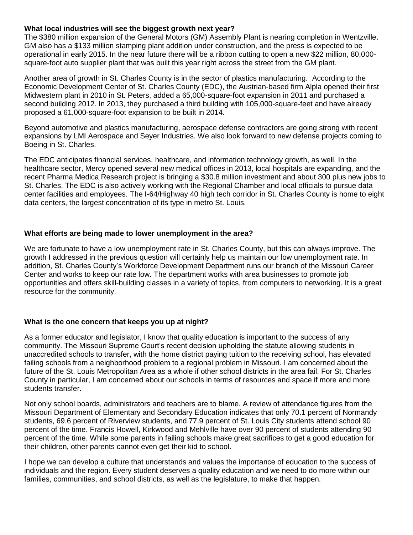## **What local industries will see the biggest growth next year?**

The \$380 million expansion of the General Motors (GM) Assembly Plant is nearing completion in Wentzville. GM also has a \$133 million stamping plant addition under construction, and the press is expected to be operational in early 2015. In the near future there will be a ribbon cutting to open a new \$22 million, 80,000 square-foot auto supplier plant that was built this year right across the street from the GM plant.

Another area of growth in St. Charles County is in the sector of plastics manufacturing. According to the Economic Development Center of St. Charles County (EDC), the Austrian-based firm Alpla opened their first Midwestern plant in 2010 in St. Peters, added a 65,000-square-foot expansion in 2011 and purchased a second building 2012. In 2013, they purchased a third building with 105,000-square-feet and have already proposed a 61,000-square-foot expansion to be built in 2014.

Beyond automotive and plastics manufacturing, aerospace defense contractors are going strong with recent expansions by LMI Aerospace and Seyer Industries. We also look forward to new defense projects coming to Boeing in St. Charles.

The EDC anticipates financial services, healthcare, and information technology growth, as well. In the healthcare sector, Mercy opened several new medical offices in 2013, local hospitals are expanding, and the recent Pharma Medica Research project is bringing a \$30.8 million investment and about 300 plus new jobs to St. Charles. The EDC is also actively working with the Regional Chamber and local officials to pursue data center facilities and employees. The I-64/Highway 40 high tech corridor in St. Charles County is home to eight data centers, the largest concentration of its type in metro St. Louis.

#### **What efforts are being made to lower unemployment in the area?**

We are fortunate to have a low unemployment rate in St. Charles County, but this can always improve. The growth I addressed in the previous question will certainly help us maintain our low unemployment rate. In addition, St. Charles County's Workforce Development Department runs our branch of the Missouri Career Center and works to keep our rate low. The department works with area businesses to promote job opportunities and offers skill-building classes in a variety of topics, from computers to networking. It is a great resource for the community.

## **What is the one concern that keeps you up at night?**

As a former educator and legislator, I know that quality education is important to the success of any community. The Missouri Supreme Court's recent decision upholding the statute allowing students in unaccredited schools to transfer, with the home district paying tuition to the receiving school, has elevated failing schools from a neighborhood problem to a regional problem in Missouri. I am concerned about the future of the St. Louis Metropolitan Area as a whole if other school districts in the area fail. For St. Charles County in particular, I am concerned about our schools in terms of resources and space if more and more students transfer.

Not only school boards, administrators and teachers are to blame. A review of attendance figures from the Missouri Department of Elementary and Secondary Education indicates that only 70.1 percent of Normandy students, 69.6 percent of Riverview students, and 77.9 percent of St. Louis City students attend school 90 percent of the time. Francis Howell, Kirkwood and Mehlville have over 90 percent of students attending 90 percent of the time. While some parents in failing schools make great sacrifices to get a good education for their children, other parents cannot even get their kid to school.

I hope we can develop a culture that understands and values the importance of education to the success of individuals and the region. Every student deserves a quality education and we need to do more within our families, communities, and school districts, as well as the legislature, to make that happen.